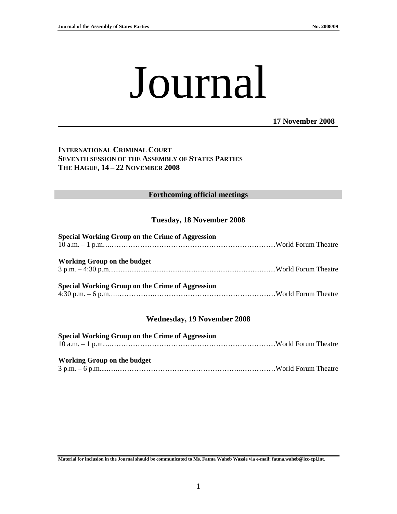# Journal

**17 November 2008**

# **INTERNATIONAL CRIMINAL COURT SEVENTH SESSION OF THE ASSEMBLY OF STATES PARTIES THE HAGUE, 14 – 22 NOVEMBER 2008**

#### **Forthcoming official meetings**

# **Tuesday, 18 November 2008**

| Special Working Group on the Crime of Aggression |  |
|--------------------------------------------------|--|
| Working Group on the budget                      |  |
| Special Working Group on the Crime of Aggression |  |

# **Wednesday, 19 November 2008**

| <b>Special Working Group on the Crime of Aggression</b> |  |
|---------------------------------------------------------|--|
|                                                         |  |
|                                                         |  |
| <b>Working Group on the budget</b>                      |  |
|                                                         |  |

**Material for inclusion in the Journal should be communicated to Ms. Fatma Waheb Wassie via e-mail: fatma.waheb@icc-cpi.int.**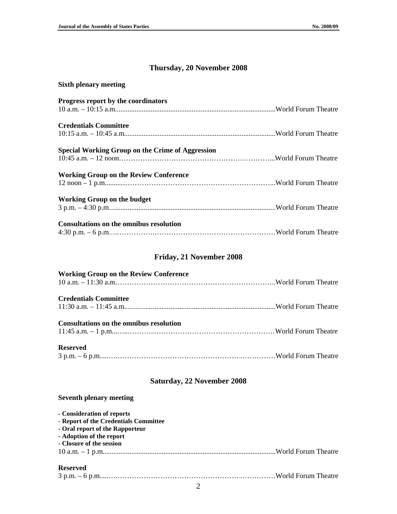## **Thursday, 20 November 2008**

| <b>Sixth plenary meeting</b>                            |  |
|---------------------------------------------------------|--|
| <b>Progress report by the coordinators</b>              |  |
|                                                         |  |
| <b>Credentials Committee</b>                            |  |
|                                                         |  |
| <b>Special Working Group on the Crime of Aggression</b> |  |
|                                                         |  |
| <b>Working Group on the Review Conference</b>           |  |
|                                                         |  |
| <b>Working Group on the budget</b>                      |  |
|                                                         |  |
| <b>Consultations on the omnibus resolution</b>          |  |
|                                                         |  |

## **Friday, 21 November 2008**

| <b>Working Group on the Review Conference</b>  |  |
|------------------------------------------------|--|
|                                                |  |
| <b>Credentials Committee</b>                   |  |
|                                                |  |
|                                                |  |
| <b>Consultations on the omnibus resolution</b> |  |
|                                                |  |
| <b>Reserved</b>                                |  |
|                                                |  |
|                                                |  |

#### **Saturday, 22 November 2008**

#### **Seventh plenary meeting**

| - Consideration of reports            |  |
|---------------------------------------|--|
| - Report of the Credentials Committee |  |
| - Oral report of the Rapporteur       |  |
| - Adoption of the report              |  |
| - Closure of the session              |  |
|                                       |  |
| <b>Reserved</b>                       |  |

2

3 p.m. – 6 p.m.....….…………………………………………….……………World Forum Theatre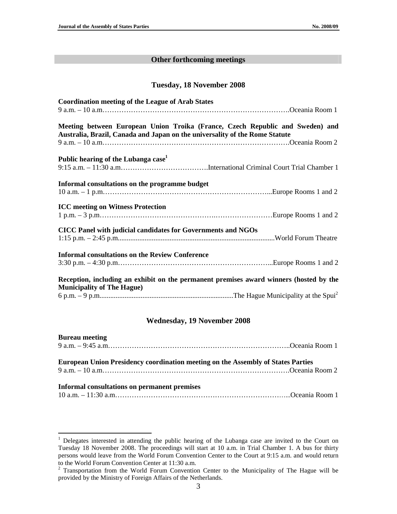#### **Other forthcoming meetings**

#### **Tuesday, 18 November 2008**

| <b>Coordination meeting of the League of Arab States</b>                                                                                                     |  |
|--------------------------------------------------------------------------------------------------------------------------------------------------------------|--|
| Meeting between European Union Troika (France, Czech Republic and Sweden) and<br>Australia, Brazil, Canada and Japan on the universality of the Rome Statute |  |
| Public hearing of the Lubanga case <sup>1</sup>                                                                                                              |  |
| Informal consultations on the programme budget                                                                                                               |  |
| <b>ICC</b> meeting on Witness Protection                                                                                                                     |  |
| CICC Panel with judicial candidates for Governments and NGOs                                                                                                 |  |
| <b>Informal consultations on the Review Conference</b>                                                                                                       |  |
| Reception, including an exhibit on the permanent premises award winners (hosted by the<br><b>Municipality of The Hague)</b>                                  |  |
|                                                                                                                                                              |  |

#### **Wednesday, 19 November 2008**

| <b>Bureau meeting</b>                                                                   |  |
|-----------------------------------------------------------------------------------------|--|
| <b>European Union Presidency coordination meeting on the Assembly of States Parties</b> |  |
| Informal consultations on permanent premises                                            |  |

<sup>&</sup>lt;sup>1</sup> Delegates interested in attending the public hearing of the Lubanga case are invited to the Court on Tuesday 18 November 2008. The proceedings will start at 10 a.m. in Trial Chamber 1. A bus for thirty persons would leave from the World Forum Convention Center to the Court at 9:15 a.m. and would return to the World Forum Convention Center at 11:30 a.m.<br><sup>2</sup> Transportation from the World Forum Convention Center to the Municipality of The Hague will be

provided by the Ministry of Foreign Affairs of the Netherlands.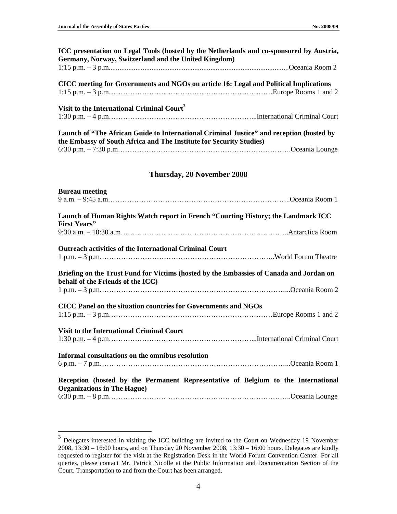| ICC presentation on Legal Tools (hosted by the Netherlands and co-sponsored by Austria,<br>Germany, Norway, Switzerland and the United Kingdom)                 |
|-----------------------------------------------------------------------------------------------------------------------------------------------------------------|
|                                                                                                                                                                 |
| CICC meeting for Governments and NGOs on article 16: Legal and Political Implications                                                                           |
| Visit to the International Criminal Court <sup>3</sup>                                                                                                          |
| Launch of "The African Guide to International Criminal Justice" and reception (hosted by<br>the Embassy of South Africa and The Institute for Security Studies) |
|                                                                                                                                                                 |
| Thursday, 20 November 2008                                                                                                                                      |
| <b>Bureau meeting</b>                                                                                                                                           |
|                                                                                                                                                                 |
| Launch of Human Rights Watch report in French "Courting History; the Landmark ICC<br><b>First Years"</b>                                                        |
|                                                                                                                                                                 |
| <b>Outreach activities of the International Criminal Court</b>                                                                                                  |
| Briefing on the Trust Fund for Victims (hosted by the Embassies of Canada and Jordan on<br>behalf of the Friends of the ICC)                                    |
|                                                                                                                                                                 |
| CICC Panel on the situation countries for Governments and NGOs                                                                                                  |
| Visit to the International Criminal Court                                                                                                                       |
|                                                                                                                                                                 |
| Informal consultations on the omnibus resolution                                                                                                                |
| Reception (hosted by the Permanent Representative of Belgium to the International<br><b>Organizations in The Hague)</b>                                         |
|                                                                                                                                                                 |

<sup>&</sup>lt;sup>3</sup> Delegates interested in visiting the ICC building are invited to the Court on Wednesday 19 November 2008, 13:30 – 16:00 hours, and on Thursday 20 November 2008, 13:30 – 16:00 hours. Delegates are kindly requested to register for the visit at the Registration Desk in the World Forum Convention Center. For all queries, please contact Mr. Patrick Nicolle at the Public Information and Documentation Section of the Court. Transportation to and from the Court has been arranged.